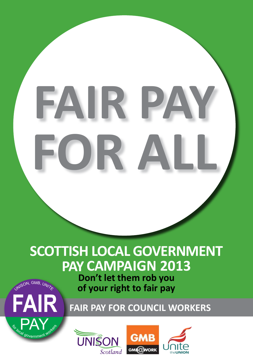## FAIR P **FOR ALL**

## **SCOTTISH LOCAL GOVERNMENT PAY CAMPAIGN 2013**

**Don't let them rob you of your right to fair pay** 



**FAIR FAIR PAY FOR COUNCIL WORKERS**